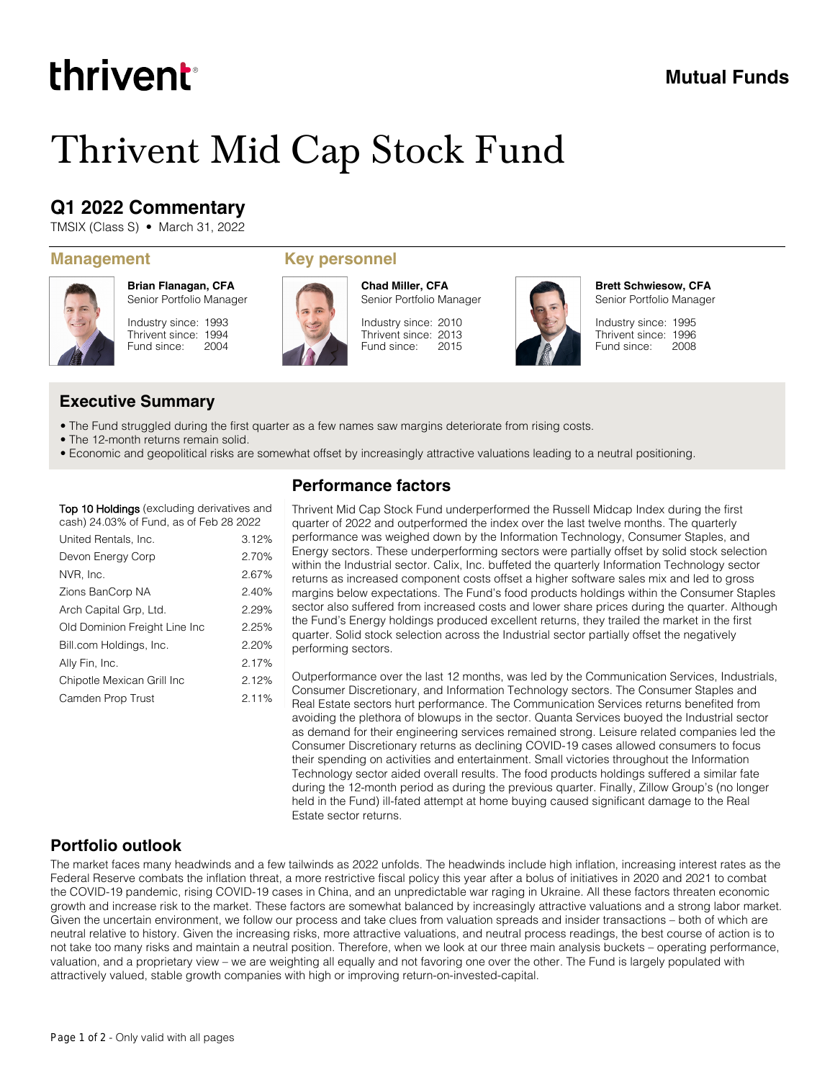# thrivent

### **Mutual Funds**

# Thrivent Mid Cap Stock Fund

## **Q1 2022 Commentary**

TMSIX (Class S) • March 31, 2022



**Brian Flanagan, CFA** Senior Portfolio Manager

Industry since: 1993 Thrivent since: 1994 Fund since: 2004

#### **Management Key personnel**



**Chad Miller, CFA** Senior Portfolio Manager

Industry since: 2010 Thrivent since: 2013 Fund since: 2015



**Brett Schwiesow, CFA** Senior Portfolio Manager

Industry since: 1995 Thrivent since: 1996 Fund since: 2008

### **Executive Summary**

- The Fund struggled during the first quarter as a few names saw margins deteriorate from rising costs.
- The 12-month returns remain solid.
- Economic and geopolitical risks are somewhat offset by increasingly attractive valuations leading to a neutral positioning.

#### **Top 10 Holdings** (excluding derivatives and cash) 24.03% of Fund, as of Feb 28 2022

| United Rentals, Inc.          | 3.12% |
|-------------------------------|-------|
| Devon Energy Corp             | 2.70% |
| NVR, Inc.                     | 2.67% |
| Zions BanCorp NA              | 2.40% |
| Arch Capital Grp, Ltd.        | 2.29% |
| Old Dominion Freight Line Inc | 2.25% |
| Bill.com Holdings, Inc.       | 2.20% |
| Ally Fin, Inc.                | 2.17% |
| Chipotle Mexican Grill Inc    | 2.12% |
| Camden Prop Trust             | 2.11% |
|                               |       |

### **Performance factors**

Thrivent Mid Cap Stock Fund underperformed the Russell Midcap Index during the first quarter of 2022 and outperformed the index over the last twelve months. The quarterly performance was weighed down by the Information Technology, Consumer Staples, and Energy sectors. These underperforming sectors were partially offset by solid stock selection within the Industrial sector. Calix, Inc. buffeted the quarterly Information Technology sector returns as increased component costs offset a higher software sales mix and led to gross margins below expectations. The Fund's food products holdings within the Consumer Staples sector also suffered from increased costs and lower share prices during the quarter. Although the Fund's Energy holdings produced excellent returns, they trailed the market in the first quarter. Solid stock selection across the Industrial sector partially offset the negatively performing sectors.

Outperformance over the last 12 months, was led by the Communication Services, Industrials, Consumer Discretionary, and Information Technology sectors. The Consumer Staples and Real Estate sectors hurt performance. The Communication Services returns benefited from avoiding the plethora of blowups in the sector. Quanta Services buoyed the Industrial sector as demand for their engineering services remained strong. Leisure related companies led the Consumer Discretionary returns as declining COVID-19 cases allowed consumers to focus their spending on activities and entertainment. Small victories throughout the Information Technology sector aided overall results. The food products holdings suffered a similar fate during the 12-month period as during the previous quarter. Finally, Zillow Group's (no longer held in the Fund) ill-fated attempt at home buying caused significant damage to the Real Estate sector returns.

#### **Portfolio outlook**

The market faces many headwinds and a few tailwinds as 2022 unfolds. The headwinds include high inflation, increasing interest rates as the Federal Reserve combats the inflation threat, a more restrictive fiscal policy this year after a bolus of initiatives in 2020 and 2021 to combat the COVID-19 pandemic, rising COVID-19 cases in China, and an unpredictable war raging in Ukraine. All these factors threaten economic growth and increase risk to the market. These factors are somewhat balanced by increasingly attractive valuations and a strong labor market. Given the uncertain environment, we follow our process and take clues from valuation spreads and insider transactions – both of which are neutral relative to history. Given the increasing risks, more attractive valuations, and neutral process readings, the best course of action is to not take too many risks and maintain a neutral position. Therefore, when we look at our three main analysis buckets – operating performance, valuation, and a proprietary view – we are weighting all equally and not favoring one over the other. The Fund is largely populated with attractively valued, stable growth companies with high or improving return-on-invested-capital.